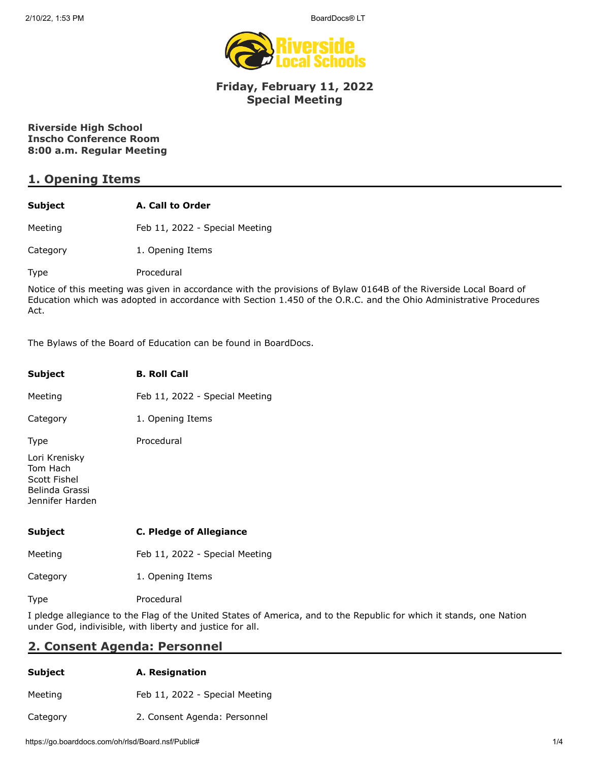

### **Friday, February 11, 2022 Special Meeting**

### **Riverside High School Inscho Conference Room 8:00 a.m. Regular Meeting**

### **1. Opening Items**

| Subject  | A. Call to Order               |  |
|----------|--------------------------------|--|
| Meeting  | Feb 11, 2022 - Special Meeting |  |
| Category | 1. Opening Items               |  |

Type Procedural

Notice of this meeting was given in accordance with the provisions of Bylaw 0164B of the Riverside Local Board of Education which was adopted in accordance with Section 1.450 of the O.R.C. and the Ohio Administrative Procedures Act.

The Bylaws of the Board of Education can be found in BoardDocs.

| Subject                                                                        | <b>B. Roll Call</b>            |
|--------------------------------------------------------------------------------|--------------------------------|
| Meeting                                                                        | Feb 11, 2022 - Special Meeting |
| Category                                                                       | 1. Opening Items               |
| <b>Type</b>                                                                    | Procedural                     |
| Lori Krenisky<br>Tom Hach<br>Scott Fishel<br>Belinda Grassi<br>Jennifer Harden |                                |
| Subject                                                                        | C. Pledge of Allegiance        |
| Meeting                                                                        | Feb 11, 2022 - Special Meeting |
| Category                                                                       | 1. Opening Items               |

Type Procedural

I pledge allegiance to the Flag of the United States of America, and to the Republic for which it stands, one Nation under God, indivisible, with liberty and justice for all.

### **2. Consent Agenda: Personnel**

| <b>Subject</b> | A. Resignation                 |  |
|----------------|--------------------------------|--|
| Meeting        | Feb 11, 2022 - Special Meeting |  |
| Category       | 2. Consent Agenda: Personnel   |  |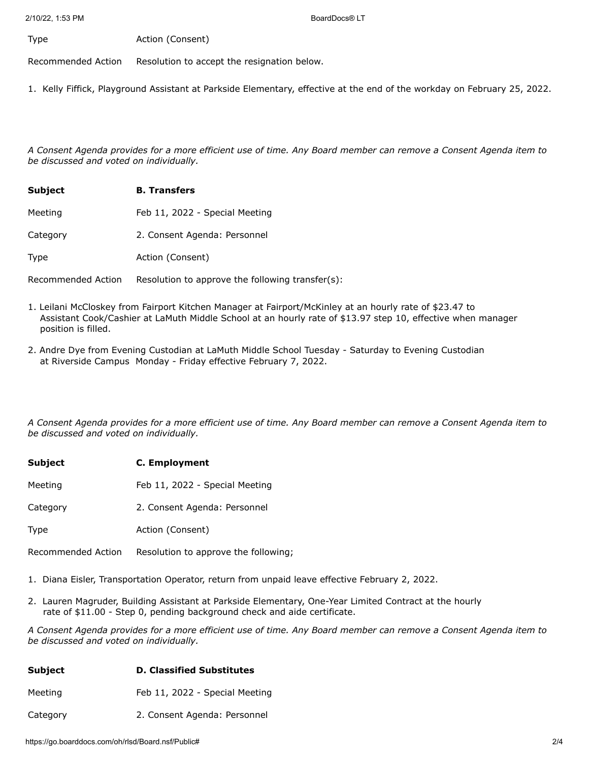Type **Action** (Consent)

Recommended Action Resolution to accept the resignation below.

1. Kelly Fiffick, Playground Assistant at Parkside Elementary, effective at the end of the workday on February 25, 2022.

*A Consent Agenda provides for a more efficient use of time. Any Board member can remove a Consent Agenda item to be discussed and voted on individually.*

| <b>Subject</b> | <b>B.</b> Transfers            |
|----------------|--------------------------------|
| Meeting        | Feb 11, 2022 - Special Meeting |
| Category       | 2. Consent Agenda: Personnel   |
| Type           | Action (Consent)               |

Recommended Action Resolution to approve the following transfer(s):

- 1. Leilani McCloskey from Fairport Kitchen Manager at Fairport/McKinley at an hourly rate of \$23.47 to Assistant Cook/Cashier at LaMuth Middle School at an hourly rate of \$13.97 step 10, effective when manager position is filled.
- 2. Andre Dye from Evening Custodian at LaMuth Middle School Tuesday Saturday to Evening Custodian at Riverside Campus Monday - Friday effective February 7, 2022.

*A Consent Agenda provides for a more efficient use of time. Any Board member can remove a Consent Agenda item to be discussed and voted on individually.*

| <b>Subject</b> | C. Employment                  |  |  |
|----------------|--------------------------------|--|--|
| Meeting        | Feb 11, 2022 - Special Meeting |  |  |
| Category       | 2. Consent Agenda: Personnel   |  |  |
| <b>Type</b>    | Action (Consent)               |  |  |
|                |                                |  |  |

Recommended Action Resolution to approve the following;

- 1. Diana Eisler, Transportation Operator, return from unpaid leave effective February 2, 2022.
- 2. Lauren Magruder, Building Assistant at Parkside Elementary, One-Year Limited Contract at the hourly rate of \$11.00 - Step 0, pending background check and aide certificate.

*A Consent Agenda provides for a more efficient use of time. Any Board member can remove a Consent Agenda item to be discussed and voted on individually.*

| Subject | <b>D. Classified Substitutes</b> |
|---------|----------------------------------|
|---------|----------------------------------|

Meeting Feb 11, 2022 - Special Meeting

Category 2. Consent Agenda: Personnel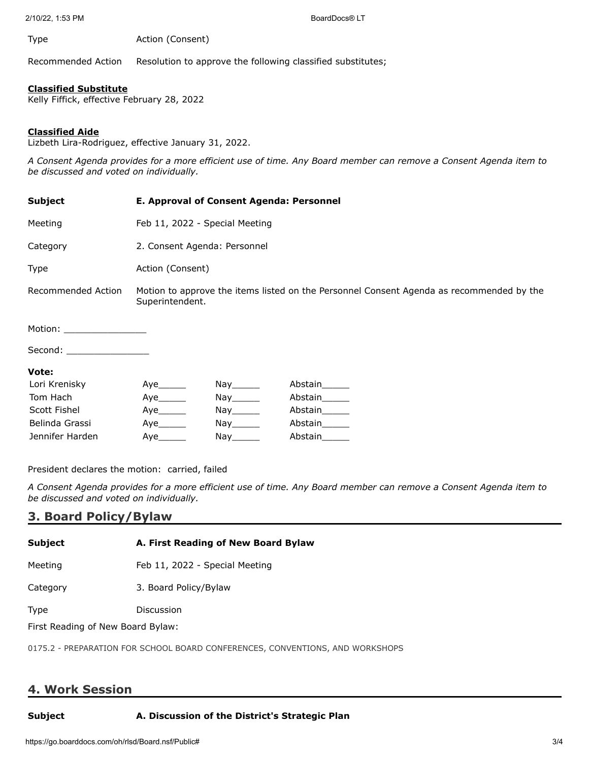2/10/22, 1:53 PM BoardDocs® LT

Type **Action** (Consent)

Recommended Action Resolution to approve the following classified substitutes;

#### **Classified Substitute**

Kelly Fiffick, effective February 28, 2022

#### **Classified Aide**

Lizbeth Lira-Rodriguez, effective January 31, 2022.

*A Consent Agenda provides for a more efficient use of time. Any Board member can remove a Consent Agenda item to be discussed and voted on individually.*

| Subject                                                                                                        | E. Approval of Consent Agenda: Personnel                                                                    |            |               |  |
|----------------------------------------------------------------------------------------------------------------|-------------------------------------------------------------------------------------------------------------|------------|---------------|--|
| Meeting                                                                                                        | Feb 11, 2022 - Special Meeting                                                                              |            |               |  |
| Category                                                                                                       | 2. Consent Agenda: Personnel                                                                                |            |               |  |
| Type                                                                                                           | Action (Consent)                                                                                            |            |               |  |
| Recommended Action                                                                                             | Motion to approve the items listed on the Personnel Consent Agenda as recommended by the<br>Superintendent. |            |               |  |
| Motion: __________________                                                                                     |                                                                                                             |            |               |  |
| Second: with a second state of the second state of the second state of the second state of the second state of |                                                                                                             |            |               |  |
| Vote:                                                                                                          |                                                                                                             |            |               |  |
| Lori Krenisky                                                                                                  |                                                                                                             | Nay_______ | Abstain______ |  |
| Tom Hach                                                                                                       | Aye                                                                                                         | Nay_______ | Abstain______ |  |
| Scott Fishel                                                                                                   | Aye                                                                                                         | Nay_______ | Abstain______ |  |
| Belinda Grassi                                                                                                 | Aye                                                                                                         |            | Abstain       |  |

President declares the motion: carried, failed

Jennifer Harden  $\qquad \qquad \text{Aye}\qquad \qquad \text{Nay}\qquad \qquad \text{Abstain}\qquad$ 

*A Consent Agenda provides for a more efficient use of time. Any Board member can remove a Consent Agenda item to be discussed and voted on individually.*

## **3. Board Policy/Bylaw**

| <b>Subject</b>                         | A. First Reading of New Board Bylaw |  |
|----------------------------------------|-------------------------------------|--|
| Meeting                                | Feb 11, 2022 - Special Meeting      |  |
| Category                               | 3. Board Policy/Bylaw               |  |
| <b>Type</b>                            | Discussion                          |  |
| The LD sending of Many Depart Data and |                                     |  |

First Reading of New Board Bylaw:

0175.2 - PREPARATION FOR SCHOOL BOARD CONFERENCES, CONVENTIONS, AND WORKSHOPS

# **4. Work Session**

### **Subject A. Discussion of the District's Strategic Plan**